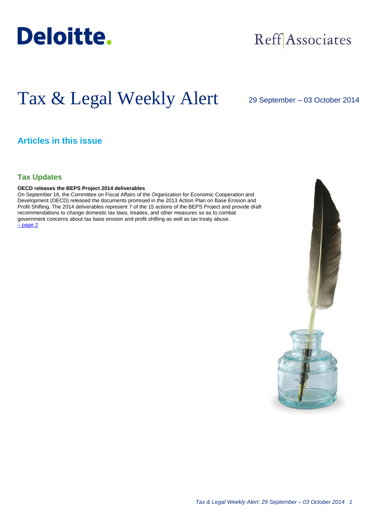

## Reff Associates

# Tax & Legal Weekly Alert

29 September – 03 October 2014

### **Articles in this issue**

#### **Tax Updates**

#### **OECD releases the BEPS Project 2014 deliverables**

On September 16, the Committee on Fiscal Affairs of the Organization for Economic Cooperation and Development (OECD) released the documents promised in the 2013 Action Plan on Base Erosion and Profit Shifting. The 2014 deliverables represent 7 of the 15 actions of the BEPS Project and provide draft recommendations to change domestic tax laws, treaties, and other measures so as to combat government concerns about tax base erosion and profit shifting as well as tax treaty abuse. – [page 2](#page-1-0)

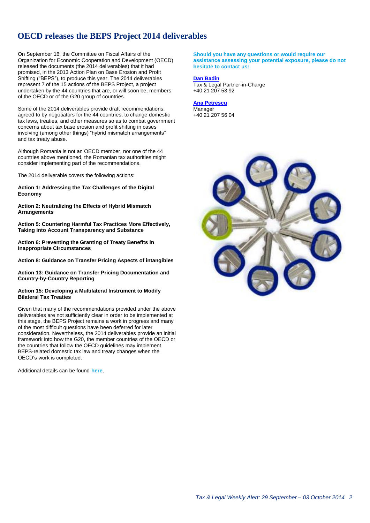## <span id="page-1-0"></span>**OECD releases the BEPS Project 2014 deliverables**

On September 16, the Committee on Fiscal Affairs of the Organization for Economic Cooperation and Development (OECD) released the documents (the 2014 deliverables) that it had promised, in the 2013 Action Plan on Base Erosion and Profit Shifting ("BEPS"), to produce this year. The 2014 deliverables represent 7 of the 15 actions of the BEPS Project, a project undertaken by the 44 countries that are, or will soon be, members of the OECD or of the G20 group of countries.

Some of the 2014 deliverables provide draft recommendations, agreed to by negotiators for the 44 countries, to change domestic tax laws, treaties, and other measures so as to combat government concerns about tax base erosion and profit shifting in cases involving (among other things) "hybrid mismatch arrangements" and tax treaty abuse.

Although Romania is not an OECD member, nor one of the 44 countries above mentioned, the Romanian tax authorities might consider implementing part of the recommendations.

The 2014 deliverable covers the following actions:

**Action 1: Addressing the Tax Challenges of the Digital Economy**

**Action 2: Neutralizing the Effects of Hybrid Mismatch Arrangements**

**Action 5: Countering Harmful Tax Practices More Effectively, Taking into Account Transparency and Substance**

**Action 6: Preventing the Granting of Treaty Benefits in Inappropriate Circumstances**

**Action 8: Guidance on Transfer Pricing Aspects of intangibles**

**Action 13: Guidance on Transfer Pricing Documentation and Country-by-Country Reporting**

#### **Action 15: Developing a Multilateral Instrument to Modify Bilateral Tax Treaties**

Given that many of the recommendations provided under the above deliverables are not sufficiently clear in order to be implemented at this stage, the BEPS Project remains a work in progress and many of the most difficult questions have been deferred for later consideration. Nevertheless, the 2014 deliverables provide an initial framework into how the G20, the member countries of the OECD or the countries that follow the OECD guidelines may implement BEPS-related domestic tax law and treaty changes when the OECD's work is completed.

Additional details can be found **[here](http://www.oecd.org/tax/beps-2014-deliverables.htm)**.

**Should you have any questions or would require our assistance assessing your potential exposure, please do not hesitate to contact us:**

#### **[Dan Badin](mailto:dbadin@deloittece.com)**

Tax & Legal Partner-in-Charge +40 21 207 53 92

#### **[Ana Petrescu](mailto:apetrescu@deloittece.com)**

Manager +40 21 207 56 04